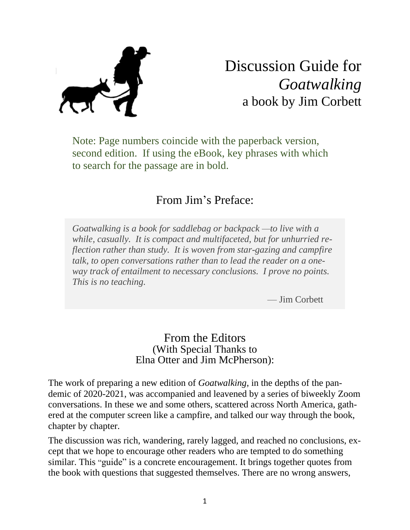# Discussion Guide for *Goatwalking* a book by Jim Corbett

Note: Page numbers coincide with the paperback version, second edition. If using the eBook, key phrases with which to search for the passage are in bold.

### From Jim's Preface:

*Goatwalking is a book for saddlebag or backpack —to live with a while, casually. It is compact and multifaceted, but for unhurried reflection rather than study. It is woven from star-gazing and campfire talk, to open conversations rather than to lead the reader on a oneway track of entailment to necessary conclusions. I prove no points. This is no teaching.*

— Jim Corbett

#### From the Editors (With Special Thanks to Elna Otter and Jim McPherson):

The work of preparing a new edition of *Goatwalking*, in the depths of the pandemic of 2020-2021, was accompanied and leavened by a series of biweekly Zoom conversations. In these we and some others, scattered across North America, gathered at the computer screen like a campfire, and talked our way through the book, chapter by chapter.

The discussion was rich, wandering, rarely lagged, and reached no conclusions, except that we hope to encourage other readers who are tempted to do something similar. This "guide" is a concrete encouragement. It brings together quotes from the book with questions that suggested themselves. There are no wrong answers,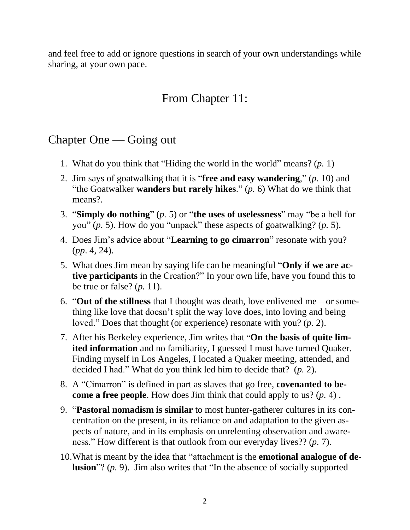and feel free to add or ignore questions in search of your own understandings while sharing, at your own pace.

# From Chapter 11:

### Chapter One — Going out

- 1. What do you think that "Hiding the world in the world" means? (*p.* 1)
- 2. Jim says of goatwalking that it is "**free and easy wandering**," (*p.* 10) and "the Goatwalker **wanders but rarely hikes**." (*p.* 6) What do we think that means?
- 3. "**Simply do nothing**" (*p.* 5) or "**the uses of uselessness**" may "be a hell for you" (*p.* 5). How do you "unpack" these aspects of goatwalking? (*p.* 5).
- 4. Does Jim's advice about "**Learning to go cimarron**" resonate with you? (*pp*. 4, 24).
- 5. What does Jim mean by saying life can be meaningful "**Only if we are active participants** in the Creation?" In your own life, have you found this to be true or false? (*p.* 11).
- 6. "**Out of the stillness** that I thought was death, love enlivened me—or something like love that doesn't split the way love does, into loving and being loved." Does that thought (or experience) resonate with you? (*p.* 2).
- 7. After his Berkeley experience, Jim writes that "**On the basis of quite limited information** and no familiarity, I guessed I must have turned Quaker. Finding myself in Los Angeles, I located a Quaker meeting, attended, and decided I had." What do you think led him to decide that? (*p.* 2).
- 8. A "Cimarron" is defined in part as slaves that go free, **covenanted to become a free people**. How does Jim think that could apply to us? (*p.* 4) .
- 9. "**Pastoral nomadism is similar** to most hunter-gatherer cultures in its concentration on the present, in its reliance on and adaptation to the given aspects of nature, and in its emphasis on unrelenting observation and awareness." How different is that outlook from our everyday lives?? (*p.* 7).
- 10.What is meant by the idea that "attachment is the **emotional analogue of delusion**"? (*p.* 9). Jim also writes that "In the absence of socially supported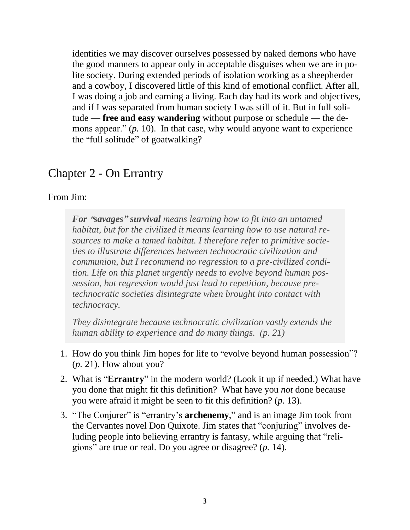identities we may discover ourselves possessed by naked demons who have the good manners to appear only in acceptable disguises when we are in polite society. During extended periods of isolation working as a sheepherder and a cowboy, I discovered little of this kind of emotional conflict. After all, I was doing a job and earning a living. Each day had its work and objectives, and if I was separated from human society I was still of it. But in full solitude — **free and easy wandering** without purpose or schedule — the demons appear." (*p.* 10). In that case, why would anyone want to experience the "full solitude" of goatwalking?

#### Chapter 2 - On Errantry

#### From Jim:

*For* **"***savages"**survival means learning how to fit into an untamed habitat, but for the civilized it means learning how to use natural resources to make a tamed habitat. I therefore refer to primitive societies to illustrate differences between technocratic civilization and communion, but I recommend no regression to a pre-civilized condition. Life on this planet urgently needs to evolve beyond human possession, but regression would just lead to repetition, because pretechnocratic societies disintegrate when brought into contact with technocracy.*

*They disintegrate because technocratic civilization vastly extends the human ability to experience and do many things. (p. 21)*

- 1. How do you think Jim hopes for life to "evolve beyond human possession"? (*p.* 21). How about you?
- 2. What is "**Errantry**" in the modern world? (Look it up if needed.) What have you done that might fit this definition? What have you *not* done because you were afraid it might be seen to fit this definition? (*p.* 13).
- 3. "The Conjurer" is "errantry's **archenemy**," and is an image Jim took from the Cervantes novel Don Quixote. Jim states that "conjuring" involves deluding people into believing errantry is fantasy, while arguing that "religions" are true or real. Do you agree or disagree? (*p.* 14).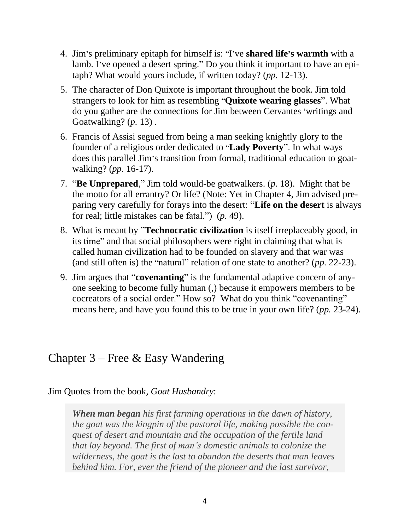- 4. Jim 's preliminary epitaph for himself is: "I've **shared life's warmth** with a lamb. I've opened a desert spring." Do you think it important to have an epitaph? What would yours include, if written today? (*pp.* 12-13).
- 5. The character of Don Quixote is important throughout the book. Jim told strangers to look for him as resembling "**Quixote wearing glasses**". What do you gather are the connections for Jim between Cervantes 'writings and Goatwalking? (*p.* 13) .
- 6. Francis of Assisi segued from being a man seeking knightly glory to the founder of a religious order dedicated to "**Lady Poverty**". In what ways does this parallel Jim's transition from formal, traditional education to goatwalking? (*pp.* 16-17).
- 7. "**Be Unprepared**," Jim told would-be goatwalkers. (*p.* 18). Might that be the motto for all errantry? Or life? (Note: Yet in Chapter 4, Jim advised preparing very carefully for forays into the desert: "**Life on the desert** is always for real; little mistakes can be fatal.") (*p.* 49).
- 8. What is meant by "**Technocratic civilization** is itself irreplaceably good, in its time" and that social philosophers were right in claiming that what is called human civilization had to be founded on slavery and that war was (and still often is) the "natural" relation of one state to another? (*pp.* 22-23).
- 9. Jim argues that "**covenanting**" is the fundamental adaptive concern of anyone seeking to become fully human (,) because it empowers members to be cocreators of a social order." How so? What do you think "covenanting" means here, and have you found this to be true in your own life? (*pp.* 23-24).

### Chapter 3 – Free & Easy Wandering

Jim Quotes from the book, *Goat Husbandry*:

*When man began his first farming operations in the dawn of history, the goat was the kingpin of the pastoral life, making possible the conquest of desert and mountain and the occupation of the fertile land that lay beyond. The first of man's domestic animals to colonize the wilderness, the goat is the last to abandon the deserts that man leaves behind him. For, ever the friend of the pioneer and the last survivor,*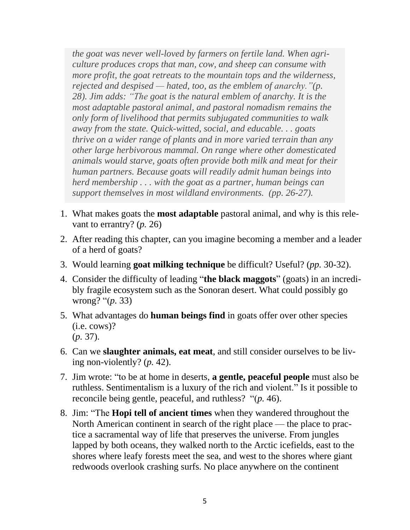*the goat was never well-loved by farmers on fertile land. When agriculture produces crops that man, cow, and sheep can consume with more profit, the goat retreats to the mountain tops and the wilderness, rejected and despised — hated, too, as the emblem of anarchy."(p. 28). Jim adds: "The goat is the natural emblem of anarchy. It is the most adaptable pastoral animal, and pastoral nomadism remains the only form of livelihood that permits subjugated communities to walk away from the state. Quick-witted, social, and educable. . . goats thrive on a wider range of plants and in more varied terrain than any other large herbivorous mammal. On range where other domesticated animals would starve, goats often provide both milk and meat for their human partners. Because goats will readily admit human beings into herd membership . . . with the goat as a partner, human beings can support themselves in most wildland environments. (pp. 26-27).*

- 1. What makes goats the **most adaptable** pastoral animal, and why is this relevant to errantry? (*p.* 26)
- 2. After reading this chapter, can you imagine becoming a member and a leader of a herd of goats?
- 3. Would learning **goat milking technique** be difficult? Useful? (*pp.* 30-32).
- 4. Consider the difficulty of leading "**the black maggots**" (goats) in an incredibly fragile ecosystem such as the Sonoran desert. What could possibly go wrong? "(*p.* 33)
- 5. What advantages do **human beings find** in goats offer over other species (i.e. cows)? (*p.* 37).
- 6. Can we **slaughter animals, eat meat**, and still consider ourselves to be living non-violently? (*p.* 42).
- 7. Jim wrote: "to be at home in deserts, **a gentle, peaceful people** must also be ruthless. Sentimentalism is a luxury of the rich and violent." Is it possible to reconcile being gentle, peaceful, and ruthless? "(*p.* 46).
- 8. Jim: "The **Hopi tell of ancient times** when they wandered throughout the North American continent in search of the right place — the place to practice a sacramental way of life that preserves the universe. From jungles lapped by both oceans, they walked north to the Arctic icefields, east to the shores where leafy forests meet the sea, and west to the shores where giant redwoods overlook crashing surfs. No place anywhere on the continent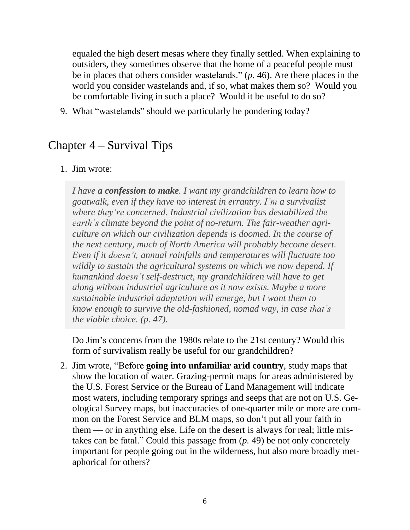equaled the high desert mesas where they finally settled. When explaining to outsiders, they sometimes observe that the home of a peaceful people must be in places that others consider wastelands." (*p.* 46). Are there places in the world you consider wastelands and, if so, what makes them so? Would you be comfortable living in such a place? Would it be useful to do so?

9. What "wastelands" should we particularly be pondering today?

### Chapter 4 – Survival Tips

#### 1. Jim wrote:

*I have a confession to make. I want my grandchildren to learn how to goatwalk, even if they have no interest in errantry. I'm a survivalist where they're concerned. Industrial civilization has destabilized the earth's climate beyond the point of no-return. The fair-weather agriculture on which our civilization depends is doomed. In the course of the next century, much of North America will probably become desert. Even if it doesn't, annual rainfalls and temperatures will fluctuate too wildly to sustain the agricultural systems on which we now depend. If humankind doesn't self-destruct, my grandchildren will have to get along without industrial agriculture as it now exists. Maybe a more sustainable industrial adaptation will emerge, but I want them to know enough to survive the old-fashioned, nomad way, in case that's the viable choice. (p. 47).*

Do Jim's concerns from the 1980s relate to the 21st century? Would this form of survivalism really be useful for our grandchildren?

2. Jim wrote, "Before **going into unfamiliar arid country**, study maps that show the location of water. Grazing-permit maps for areas administered by the U.S. Forest Service or the Bureau of Land Management will indicate most waters, including temporary springs and seeps that are not on U.S. Geological Survey maps, but inaccuracies of one-quarter mile or more are common on the Forest Service and BLM maps, so don't put all your faith in them — or in anything else. Life on the desert is always for real; little mistakes can be fatal." Could this passage from (*p.* 49) be not only concretely important for people going out in the wilderness, but also more broadly metaphorical for others?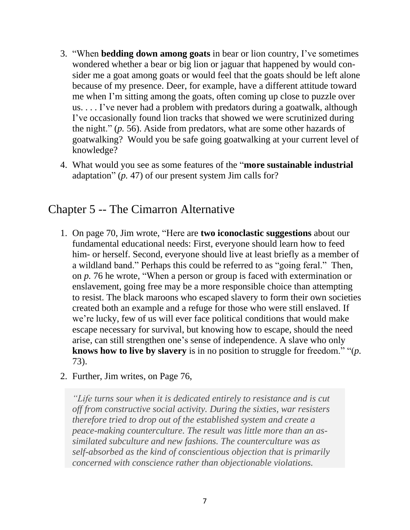- 3. "When **bedding down among goats** in bear or lion country, I've sometimes wondered whether a bear or big lion or jaguar that happened by would consider me a goat among goats or would feel that the goats should be left alone because of my presence. Deer, for example, have a different attitude toward me when I'm sitting among the goats, often coming up close to puzzle over us. . . . I've never had a problem with predators during a goatwalk, although I've occasionally found lion tracks that showed we were scrutinized during the night." (*p.* 56). Aside from predators, what are some other hazards of goatwalking? Would you be safe going goatwalking at your current level of knowledge?
- 4. What would you see as some features of the "**more sustainable industrial** adaptation" (*p.* 47) of our present system Jim calls for?

### Chapter 5 -- The Cimarron Alternative

- 1. On page 70, Jim wrote, "Here are **two iconoclastic suggestions** about our fundamental educational needs: First, everyone should learn how to feed him- or herself. Second, everyone should live at least briefly as a member of a wildland band." Perhaps this could be referred to as "going feral." Then, on *p.* 76 he wrote, "When a person or group is faced with extermination or enslavement, going free may be a more responsible choice than attempting to resist. The black maroons who escaped slavery to form their own societies created both an example and a refuge for those who were still enslaved. If we're lucky, few of us will ever face political conditions that would make escape necessary for survival, but knowing how to escape, should the need arise, can still strengthen one's sense of independence. A slave who only **knows how to live by slavery** is in no position to struggle for freedom." "(*p.* 73).
- 2. Further, Jim writes, on Page 76,

*"Life turns sour when it is dedicated entirely to resistance and is cut off from constructive social activity. During the sixties, war resisters therefore tried to drop out of the established system and create a peace-making counterculture. The result was little more than an assimilated subculture and new fashions. The counterculture was as self-absorbed as the kind of conscientious objection that is primarily concerned with conscience rather than objectionable violations.*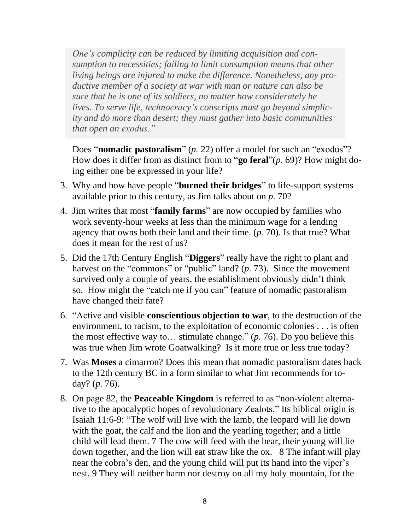*One's complicity can be reduced by limiting acquisition and consumption to necessities; failing to limit consumption means that other living beings are injured to make the difference. Nonetheless, any productive member of a society at war with man or nature can also be sure that he is one of its soldiers, no matter how considerately he lives. To serve life, technocracy's conscripts must go beyond simplicity and do more than desert; they must gather into basic communities that open an exodus."*

Does "**nomadic pastoralism**" (*p.* 22) offer a model for such an "exodus"? How does it differ from as distinct from to "**go feral**"(*p.* 69)? How might doing either one be expressed in your life?

- 3. Why and how have people "**burned their bridges**" to life-support systems available prior to this century, as Jim talks about on *p.* 70?
- 4. Jim writes that most "**family farms**" are now occupied by families who work seventy-hour weeks at less than the minimum wage for a lending agency that owns both their land and their time. (*p.* 70). Is that true? What does it mean for the rest of us?
- 5. Did the 17th Century English "**Diggers**" really have the right to plant and harvest on the "commons" or "public" land? (*p.* 73). Since the movement survived only a couple of years, the establishment obviously didn't think so. How might the "catch me if you can" feature of nomadic pastoralism have changed their fate?
- 6. "Active and visible **conscientious objection to war**, to the destruction of the environment, to racism, to the exploitation of economic colonies . . . is often the most effective way to… stimulate change." (*p.* 76). Do you believe this was true when Jim wrote Goatwalking? Is it more true or less true today?
- 7. Was **Moses** a cimarron? Does this mean that nomadic pastoralism dates back to the 12th century BC in a form similar to what Jim recommends for today? (*p.* 76).
- 8. On page 82, the **Peaceable Kingdom** is referred to as "non-violent alternative to the apocalyptic hopes of revolutionary Zealots." Its biblical origin is Isaiah 11:6-9: "The wolf will live with the lamb, the leopard will lie down with the goat, the calf and the lion and the yearling together; and a little child will lead them. 7 The cow will feed with the bear, their young will lie down together, and the lion will eat straw like the ox. 8 The infant will play near the cobra's den, and the young child will put its hand into the viper's nest. 9 They will neither harm nor destroy on all my holy mountain, for the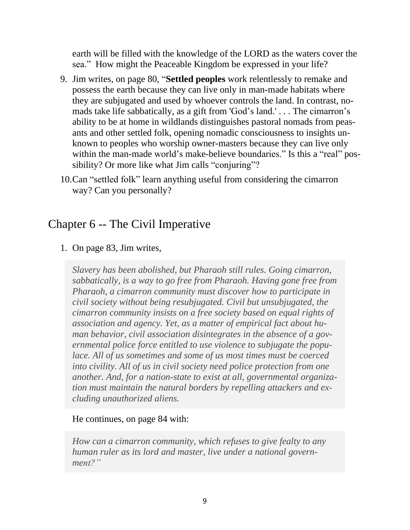earth will be filled with the knowledge of the LORD as the waters cover the sea." How might the Peaceable Kingdom be expressed in your life?

- 9. Jim writes, on page 80, "**Settled peoples** work relentlessly to remake and possess the earth because they can live only in man-made habitats where they are subjugated and used by whoever controls the land. In contrast, nomads take life sabbatically, as a gift from 'God's land.' . . . The cimarron's ability to be at home in wildlands distinguishes pastoral nomads from peasants and other settled folk, opening nomadic consciousness to insights unknown to peoples who worship owner-masters because they can live only within the man-made world's make-believe boundaries." Is this a "real" possibility? Or more like what Jim calls "conjuring"?
- 10.Can "settled folk" learn anything useful from considering the cimarron way? Can you personally?

### Chapter 6 -- The Civil Imperative

1. On page 83, Jim writes,

*Slavery has been abolished, but Pharaoh still rules. Going cimarron, sabbatically, is a way to go free from Pharaoh. Having gone free from Pharaoh, a cimarron community must discover how to participate in civil society without being resubjugated. Civil but unsubjugated, the cimarron community insists on a free society based on equal rights of association and agency. Yet, as a matter of empirical fact about human behavior, civil association disintegrates in the absence of a governmental police force entitled to use violence to subjugate the populace. All of us sometimes and some of us most times must be coerced into civility. All of us in civil society need police protection from one another. And, for a nation-state to exist at all, governmental organization must maintain the natural borders by repelling attackers and excluding unauthorized aliens.*

#### He continues, on page 84 with:

*How can a cimarron community, which refuses to give fealty to any human ruler as its lord and master, live under a national government?"*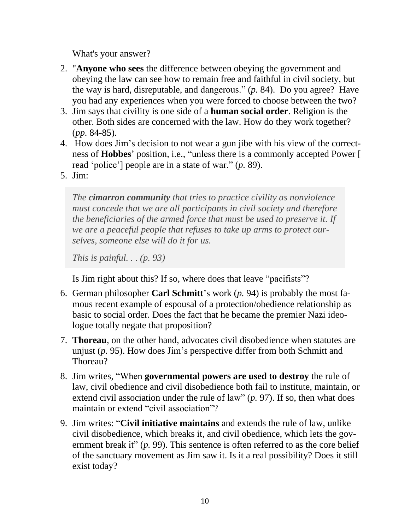What's your answer?

- 2. "**Anyone who sees** the difference between obeying the government and obeying the law can see how to remain free and faithful in civil society, but the way is hard, disreputable, and dangerous." (*p.* 84). Do you agree? Have you had any experiences when you were forced to choose between the two?
- 3. Jim says that civility is one side of a **human social order**. Religion is the other. Both sides are concerned with the law. How do they work together? (*pp.* 84-85).
- 4. How does Jim's decision to not wear a gun jibe with his view of the correctness of **Hobbes**' position, i.e., "unless there is a commonly accepted Power [ read 'police'] people are in a state of war." (*p.* 89).
- 5. Jim:

*The cimarron community that tries to practice civility as nonviolence must concede that we are all participants in civil society and therefore the beneficiaries of the armed force that must be used to preserve it. If we are a peaceful people that refuses to take up arms to protect ourselves, someone else will do it for us.*

*This is painful. . . (p. 93)*

Is Jim right about this? If so, where does that leave "pacifists"?

- 6. German philosopher **Carl Schmitt**'s work (*p.* 94) is probably the most famous recent example of espousal of a protection/obedience relationship as basic to social order. Does the fact that he became the premier Nazi ideologue totally negate that proposition?
- 7. **Thoreau**, on the other hand, advocates civil disobedience when statutes are unjust (*p.* 95). How does Jim's perspective differ from both Schmitt and Thoreau?
- 8. Jim writes, "When **governmental powers are used to destroy** the rule of law, civil obedience and civil disobedience both fail to institute, maintain, or extend civil association under the rule of law" (*p.* 97). If so, then what does maintain or extend "civil association"?
- 9. Jim writes: "**Civil initiative maintains** and extends the rule of law, unlike civil disobedience, which breaks it, and civil obedience, which lets the government break it" (*p.* 99). This sentence is often referred to as the core belief of the sanctuary movement as Jim saw it. Is it a real possibility? Does it still exist today?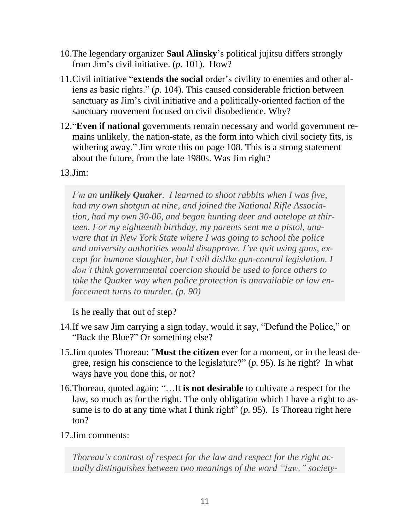- 10.The legendary organizer **Saul Alinsky**'s political jujitsu differs strongly from Jim's civil initiative. (*p.* 101). How?
- 11.Civil initiative "**extends the social** order's civility to enemies and other aliens as basic rights." (*p.* 104). This caused considerable friction between sanctuary as Jim's civil initiative and a politically-oriented faction of the sanctuary movement focused on civil disobedience. Why?
- 12."**Even if national** governments remain necessary and world government remains unlikely, the nation-state, as the form into which civil society fits, is withering away." Jim wrote this on page 108. This is a strong statement about the future, from the late 1980s. Was Jim right?
- 13.Jim:

*I'm an unlikely Quaker. I learned to shoot rabbits when I was five, had my own shotgun at nine, and joined the National Rifle Association, had my own 30-06, and began hunting deer and antelope at thirteen. For my eighteenth birthday, my parents sent me a pistol, unaware that in New York State where I was going to school the police and university authorities would disapprove. I've quit using guns, except for humane slaughter, but I still dislike gun-control legislation. I don't think governmental coercion should be used to force others to take the Quaker way when police protection is unavailable or law enforcement turns to murder. (p. 90)*

Is he really that out of step?

- 14.If we saw Jim carrying a sign today, would it say, "Defund the Police," or "Back the Blue?" Or something else?
- 15.Jim quotes Thoreau: "**Must the citizen** ever for a moment, or in the least degree, resign his conscience to the legislature?" (*p.* 95). Is he right? In what ways have you done this, or not?
- 16.Thoreau, quoted again: "…It **is not desirable** to cultivate a respect for the law, so much as for the right. The only obligation which I have a right to assume is to do at any time what I think right" (*p.* 95). Is Thoreau right here too?
- 17.Jim comments:

*Thoreau's contrast of respect for the law and respect for the right actually distinguishes between two meanings of the word "law," society-*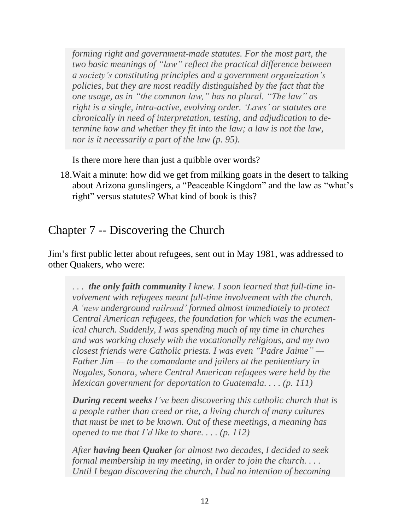*forming right and government-made statutes. For the most part, the two basic meanings of "law" reflect the practical difference between a society's constituting principles and a government organization's policies, but they are most readily distinguished by the fact that the one usage, as in "the common law," has no plural. "The law" as right is a single, intra-active, evolving order. 'Laws' or statutes are chronically in need of interpretation, testing, and adjudication to determine how and whether they fit into the law; a law is not the law, nor is it necessarily a part of the law (p. 95).*

Is there more here than just a quibble over words?

18.Wait a minute: how did we get from milking goats in the desert to talking about Arizona gunslingers, a "Peaceable Kingdom" and the law as "what's right" versus statutes? What kind of book is this?

### Chapter 7 -- Discovering the Church

Jim's first public letter about refugees, sent out in May 1981, was addressed to other Quakers, who were:

*. . . the only faith community I knew. I soon learned that full-time involvement with refugees meant full-time involvement with the church. A 'new underground railroad' formed almost immediately to protect Central American refugees, the foundation for which was the ecumenical church. Suddenly, I was spending much of my time in churches and was working closely with the vocationally religious, and my two closest friends were Catholic priests. I was even "Padre Jaime" — Father Jim — to the comandante and jailers at the penitentiary in Nogales, Sonora, where Central American refugees were held by the Mexican government for deportation to Guatemala. . . . (p. 111)*

*During recent weeks I've been discovering this catholic church that is a people rather than creed or rite, a living church of many cultures that must be met to be known. Out of these meetings, a meaning has opened to me that I'd like to share. . . . (p. 112)*

*After having been Quaker for almost two decades, I decided to seek formal membership in my meeting, in order to join the church. . . . Until I began discovering the church, I had no intention of becoming*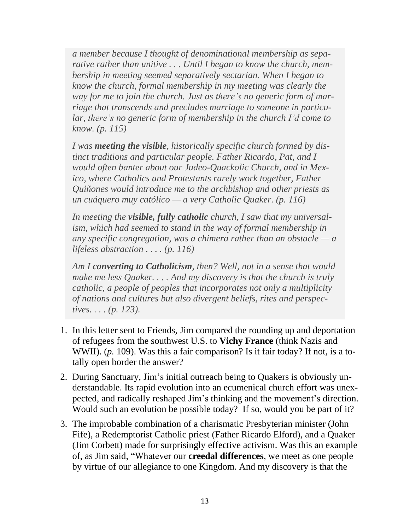*a member because I thought of denominational membership as separative rather than unitive . . . Until I began to know the church, membership in meeting seemed separatively sectarian. When I began to know the church, formal membership in my meeting was clearly the way for me to join the church. Just as there's no generic form of marriage that transcends and precludes marriage to someone in particular, there's no generic form of membership in the church I'd come to know. (p. 115)*

*I was meeting the visible, historically specific church formed by distinct traditions and particular people. Father Ricardo, Pat, and I would often banter about our Judeo-Quackolic Church, and in Mexico, where Catholics and Protestants rarely work together, Father Quiñones would introduce me to the archbishop and other priests as un cuáquero muy católico — a very Catholic Quaker. (p. 116)*

*In meeting the visible, fully catholic church, I saw that my universalism, which had seemed to stand in the way of formal membership in any specific congregation, was a chimera rather than an obstacle — a lifeless abstraction . . . . (p. 116)*

*Am I converting to Catholicism, then? Well, not in a sense that would make me less Quaker. . . . And my discovery is that the church is truly catholic, a people of peoples that incorporates not only a multiplicity of nations and cultures but also divergent beliefs, rites and perspectives. . . . (p. 123).*

- 1. In this letter sent to Friends, Jim compared the rounding up and deportation of refugees from the southwest U.S. to **Vichy France** (think Nazis and WWII). (*p.* 109). Was this a fair comparison? Is it fair today? If not, is a totally open border the answer?
- 2. During Sanctuary, Jim's initial outreach being to Quakers is obviously understandable. Its rapid evolution into an ecumenical church effort was unexpected, and radically reshaped Jim's thinking and the movement's direction. Would such an evolution be possible today? If so, would you be part of it?
- 3. The improbable combination of a charismatic Presbyterian minister (John Fife), a Redemptorist Catholic priest (Father Ricardo Elford), and a Quaker (Jim Corbett) made for surprisingly effective activism. Was this an example of, as Jim said, "Whatever our **creedal differences**, we meet as one people by virtue of our allegiance to one Kingdom. And my discovery is that the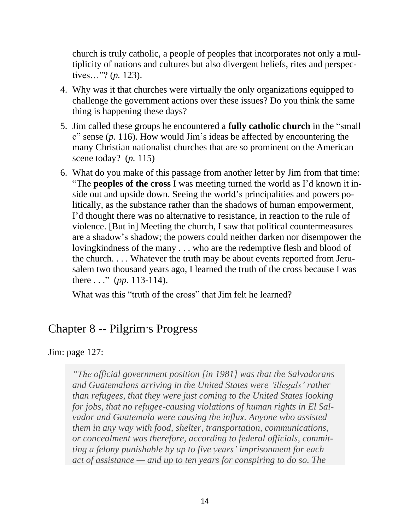church is truly catholic, a people of peoples that incorporates not only a multiplicity of nations and cultures but also divergent beliefs, rites and perspectives…"? (*p.* 123).

- 4. Why was it that churches were virtually the only organizations equipped to challenge the government actions over these issues? Do you think the same thing is happening these days?
- 5. Jim called these groups he encountered a **fully catholic church** in the "small c" sense (*p*. 116). How would Jim's ideas be affected by encountering the many Christian nationalist churches that are so prominent on the American scene today? (*p.* 115)
- 6. What do you make of this passage from another letter by Jim from that time: "The **peoples of the cross** I was meeting turned the world as I'd known it inside out and upside down. Seeing the world's principalities and powers politically, as the substance rather than the shadows of human empowerment, I'd thought there was no alternative to resistance, in reaction to the rule of violence. [But in] Meeting the church, I saw that political countermeasures are a shadow's shadow; the powers could neither darken nor disempower the lovingkindness of the many . . . who are the redemptive flesh and blood of the church. . . . Whatever the truth may be about events reported from Jerusalem two thousand years ago, I learned the truth of the cross because I was there . . ." (*pp.* 113-114).

What was this "truth of the cross" that Jim felt he learned?

#### Chapter 8 -- Pilgrim's Progress

Jim: page 127:

*"The official government position [in 1981] was that the Salvadorans and Guatemalans arriving in the United States were 'illegals' rather than refugees, that they were just coming to the United States looking for jobs, that no refugee-causing violations of human rights in El Salvador and Guatemala were causing the influx. Anyone who assisted them in any way with food, shelter, transportation, communications, or concealment was therefore, according to federal officials, committing a felony punishable by up to five years' imprisonment for each act of assistance — and up to ten years for conspiring to do so. The*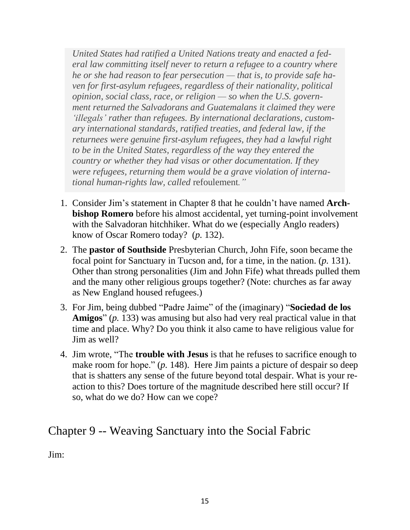*United States had ratified a United Nations treaty and enacted a federal law committing itself never to return a refugee to a country where he or she had reason to fear persecution — that is, to provide safe haven for first-asylum refugees, regardless of their nationality, political opinion, social class, race, or religion — so when the U.S. government returned the Salvadorans and Guatemalans it claimed they were 'illegals' rather than refugees. By international declarations, customary international standards, ratified treaties, and federal law, if the returnees were genuine first-asylum refugees, they had a lawful right to be in the United States, regardless of the way they entered the country or whether they had visas or other documentation. If they were refugees, returning them would be a grave violation of international human-rights law, called* refoulement*."*

- 1. Consider Jim's statement in Chapter 8 that he couldn't have named **Archbishop Romero** before his almost accidental, yet turning-point involvement with the Salvadoran hitchhiker. What do we (especially Anglo readers) know of Oscar Romero today? (*p.* 132).
- 2. The **pastor of Southside** Presbyterian Church, John Fife, soon became the focal point for Sanctuary in Tucson and, for a time, in the nation. (*p.* 131). Other than strong personalities (Jim and John Fife) what threads pulled them and the many other religious groups together? (Note: churches as far away as New England housed refugees.)
- 3. For Jim, being dubbed "Padre Jaime" of the (imaginary) "**Sociedad de los Amigos**" (*p.* 133) was amusing but also had very real practical value in that time and place. Why? Do you think it also came to have religious value for Jim as well?
- 4. Jim wrote, "The **trouble with Jesus** is that he refuses to sacrifice enough to make room for hope." (*p.* 148). Here Jim paints a picture of despair so deep that is shatters any sense of the future beyond total despair. What is your reaction to this? Does torture of the magnitude described here still occur? If so, what do we do? How can we cope?

### Chapter 9 -- Weaving Sanctuary into the Social Fabric

Jim: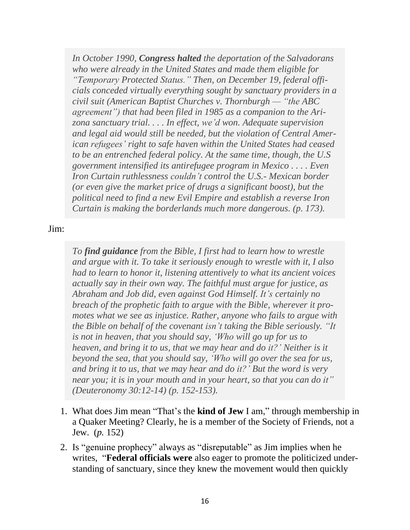*In October 1990, Congress halted the deportation of the Salvadorans who were already in the United States and made them eligible for "Temporary Protected Status." Then, on December 19, federal officials conceded virtually everything sought by sanctuary providers in a civil suit (American Baptist Churches v. Thornburgh — "the ABC agreement") that had been filed in 1985 as a companion to the Arizona sanctuary trial. . . . In effect, we'd won. Adequate supervision and legal aid would still be needed, but the violation of Central American refugees' right to safe haven within the United States had ceased to be an entrenched federal policy. At the same time, though, the U.S government intensified its antirefugee program in Mexico . . . . Even Iron Curtain ruthlessness couldn't control the U.S.- Mexican border (or even give the market price of drugs a significant boost), but the political need to find a new Evil Empire and establish a reverse Iron Curtain is making the borderlands much more dangerous. (p. 173).*

Jim:

*To find guidance from the Bible, I first had to learn how to wrestle and argue with it. To take it seriously enough to wrestle with it, I also had to learn to honor it, listening attentively to what its ancient voices actually say in their own way. The faithful must argue for justice, as Abraham and Job did, even against God Himself. It's certainly no breach of the prophetic faith to argue with the Bible, wherever it promotes what we see as injustice. Rather, anyone who fails to argue with the Bible on behalf of the covenant isn't taking the Bible seriously. "It is not in heaven, that you should say, 'Who will go up for us to heaven, and bring it to us, that we may hear and do it?' Neither is it beyond the sea, that you should say, 'Who will go over the sea for us, and bring it to us, that we may hear and do it?' But the word is very near you; it is in your mouth and in your heart, so that you can do it" (Deuteronomy 30:12-14) (p. 152-153).*

- 1. What does Jim mean "That's the **kind of Jew** I am," through membership in a Quaker Meeting? Clearly, he is a member of the Society of Friends, not a Jew. (*p.* 152)
- 2. Is "genuine prophecy" always as "disreputable" as Jim implies when he writes, "**Federal officials were** also eager to promote the politicized understanding of sanctuary, since they knew the movement would then quickly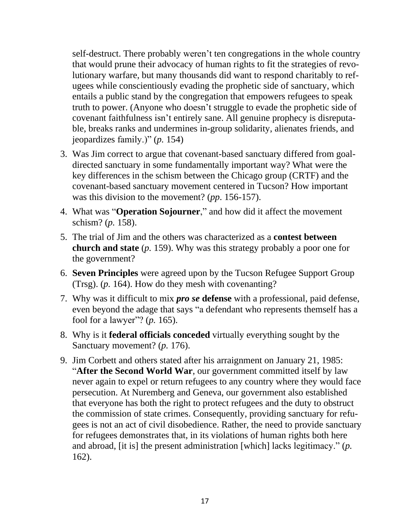self-destruct. There probably weren't ten congregations in the whole country that would prune their advocacy of human rights to fit the strategies of revolutionary warfare, but many thousands did want to respond charitably to refugees while conscientiously evading the prophetic side of sanctuary, which entails a public stand by the congregation that empowers refugees to speak truth to power. (Anyone who doesn't struggle to evade the prophetic side of covenant faithfulness isn't entirely sane. All genuine prophecy is disreputable, breaks ranks and undermines in-group solidarity, alienates friends, and jeopardizes family.)" (*p.* 154)

- 3. Was Jim correct to argue that covenant-based sanctuary differed from goaldirected sanctuary in some fundamentally important way? What were the key differences in the schism between the Chicago group (CRTF) and the covenant-based sanctuary movement centered in Tucson? How important was this division to the movement? (*pp*. 156-157).
- 4. What was "**Operation Sojourner**," and how did it affect the movement schism? (*p.* 158).
- 5. The trial of Jim and the others was characterized as a **contest between church and state** (*p.* 159). Why was this strategy probably a poor one for the government?
- 6. **Seven Principles** were agreed upon by the Tucson Refugee Support Group (Trsg). (*p.* 164). How do they mesh with covenanting?
- 7. Why was it difficult to mix *pro se* **defense** with a professional, paid defense, even beyond the adage that says "a defendant who represents themself has a fool for a lawyer"? (*p.* 165).
- 8. Why is it **federal officials conceded** virtually everything sought by the Sanctuary movement? (*p.* 176).
- 9. Jim Corbett and others stated after his arraignment on January 21, 1985: "**After the Second World War**, our government committed itself by law never again to expel or return refugees to any country where they would face persecution. At Nuremberg and Geneva, our government also established that everyone has both the right to protect refugees and the duty to obstruct the commission of state crimes. Consequently, providing sanctuary for refugees is not an act of civil disobedience. Rather, the need to provide sanctuary for refugees demonstrates that, in its violations of human rights both here and abroad, [it is] the present administration [which] lacks legitimacy." (*p.* 162).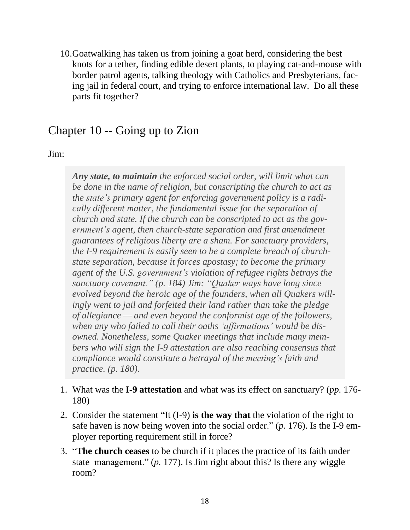10.Goatwalking has taken us from joining a goat herd, considering the best knots for a tether, finding edible desert plants, to playing cat-and-mouse with border patrol agents, talking theology with Catholics and Presbyterians, facing jail in federal court, and trying to enforce international law. Do all these parts fit together?

### Chapter 10 -- Going up to Zion

Jim:

*Any state, to maintain the enforced social order, will limit what can be done in the name of religion, but conscripting the church to act as the state's primary agent for enforcing government policy is a radically different matter, the fundamental issue for the separation of church and state. If the church can be conscripted to act as the government's agent, then church-state separation and first amendment guarantees of religious liberty are a sham. For sanctuary providers, the I-9 requirement is easily seen to be a complete breach of churchstate separation, because it forces apostasy; to become the primary agent of the U.S. government's violation of refugee rights betrays the sanctuary covenant." (p. 184) Jim: "Quaker ways have long since evolved beyond the heroic age of the founders, when all Quakers willingly went to jail and forfeited their land rather than take the pledge of allegiance — and even beyond the conformist age of the followers, when any who failed to call their oaths 'affirmations' would be disowned. Nonetheless, some Quaker meetings that include many members who will sign the I-9 attestation are also reaching consensus that compliance would constitute a betrayal of the meeting's faith and practice. (p. 180).*

- 1. What was the **I-9 attestation** and what was its effect on sanctuary? (*pp.* 176- 180)
- 2. Consider the statement "It (I-9) **is the way that** the violation of the right to safe haven is now being woven into the social order." (*p.* 176). Is the I-9 employer reporting requirement still in force?
- 3. "**The church ceases** to be church if it places the practice of its faith under state management." (*p.* 177). Is Jim right about this? Is there any wiggle room?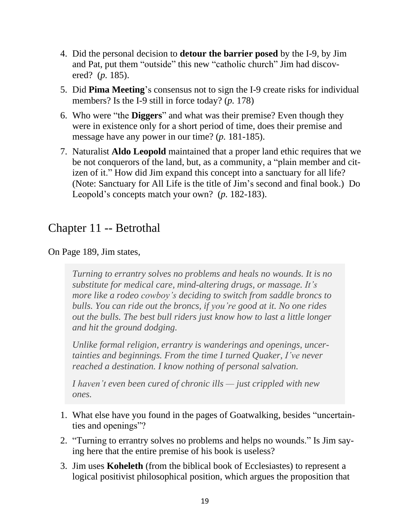- 4. Did the personal decision to **detour the barrier posed** by the I-9, by Jim and Pat, put them "outside" this new "catholic church" Jim had discovered? (*p.* 185).
- 5. Did **Pima Meeting**'s consensus not to sign the I-9 create risks for individual members? Is the I-9 still in force today? (*p.* 178)
- 6. Who were "the **Diggers**" and what was their premise? Even though they were in existence only for a short period of time, does their premise and message have any power in our time? (*p.* 181-185).
- 7. Naturalist **Aldo Leopold** maintained that a proper land ethic requires that we be not conquerors of the land, but, as a community, a "plain member and citizen of it." How did Jim expand this concept into a sanctuary for all life? (Note: Sanctuary for All Life is the title of Jim's second and final book.) Do Leopold's concepts match your own? (*p.* 182-183).

#### Chapter 11 -- Betrothal

On Page 189, Jim states,

*Turning to errantry solves no problems and heals no wounds. It is no substitute for medical care, mind-altering drugs, or massage. It's more like a rodeo cowboy's deciding to switch from saddle broncs to bulls. You can ride out the broncs, if you're good at it. No one rides out the bulls. The best bull riders just know how to last a little longer and hit the ground dodging.*

*Unlike formal religion, errantry is wanderings and openings, uncertainties and beginnings. From the time I turned Quaker, I've never reached a destination. I know nothing of personal salvation.*

*I haven't even been cured of chronic ills — just crippled with new ones.*

- 1. What else have you found in the pages of Goatwalking, besides "uncertainties and openings"?
- 2. "Turning to errantry solves no problems and helps no wounds." Is Jim saying here that the entire premise of his book is useless?
- 3. Jim uses **Koheleth** (from the biblical book of Ecclesiastes) to represent a logical positivist philosophical position, which argues the proposition that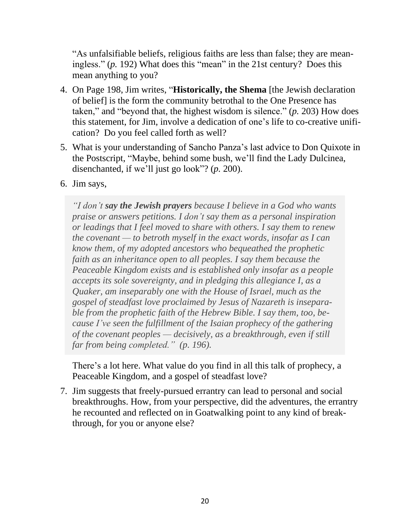"As unfalsifiable beliefs, religious faiths are less than false; they are meaningless." (*p.* 192) What does this "mean" in the 21st century? Does this mean anything to you?

- 4. On Page 198, Jim writes, "**Historically, the Shema** [the Jewish declaration of belief] is the form the community betrothal to the One Presence has taken," and "beyond that, the highest wisdom is silence." (*p.* 203) How does this statement, for Jim, involve a dedication of one's life to co-creative unification? Do you feel called forth as well?
- 5. What is your understanding of Sancho Panza's last advice to Don Quixote in the Postscript, "Maybe, behind some bush, we'll find the Lady Dulcinea, disenchanted, if we'll just go look"? (*p.* 200).
- 6. Jim says,

*"I don't say the Jewish prayers because I believe in a God who wants praise or answers petitions. I don't say them as a personal inspiration or leadings that I feel moved to share with others. I say them to renew the covenant — to betroth myself in the exact words, insofar as I can know them, of my adopted ancestors who bequeathed the prophetic faith as an inheritance open to all peoples. I say them because the Peaceable Kingdom exists and is established only insofar as a people accepts its sole sovereignty, and in pledging this allegiance I, as a Quaker, am inseparably one with the House of Israel, much as the gospel of steadfast love proclaimed by Jesus of Nazareth is inseparable from the prophetic faith of the Hebrew Bible. I say them, too, because I've seen the fulfillment of the Isaian prophecy of the gathering of the covenant peoples — decisively, as a breakthrough, even if still far from being completed." (p. 196).*

There's a lot here. What value do you find in all this talk of prophecy, a Peaceable Kingdom, and a gospel of steadfast love?

7. Jim suggests that freely-pursued errantry can lead to personal and social breakthroughs. How, from your perspective, did the adventures, the errantry he recounted and reflected on in Goatwalking point to any kind of breakthrough, for you or anyone else?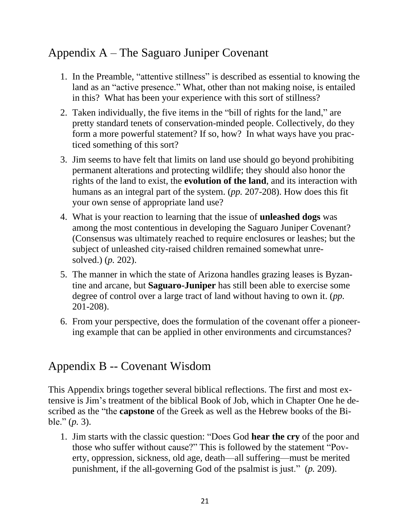## Appendix A – The Saguaro Juniper Covenant

- 1. In the Preamble, "attentive stillness" is described as essential to knowing the land as an "active presence." What, other than not making noise, is entailed in this? What has been your experience with this sort of stillness?
- 2. Taken individually, the five items in the "bill of rights for the land," are pretty standard tenets of conservation-minded people. Collectively, do they form a more powerful statement? If so, how? In what ways have you practiced something of this sort?
- 3. Jim seems to have felt that limits on land use should go beyond prohibiting permanent alterations and protecting wildlife; they should also honor the rights of the land to exist, the **evolution of the land**, and its interaction with humans as an integral part of the system. (*pp.* 207-208). How does this fit your own sense of appropriate land use?
- 4. What is your reaction to learning that the issue of **unleashed dogs** was among the most contentious in developing the Saguaro Juniper Covenant? (Consensus was ultimately reached to require enclosures or leashes; but the subject of unleashed city-raised children remained somewhat unresolved.) (*p.* 202).
- 5. The manner in which the state of Arizona handles grazing leases is Byzantine and arcane, but **Saguaro-Juniper** has still been able to exercise some degree of control over a large tract of land without having to own it. (*pp.* 201-208).
- 6. From your perspective, does the formulation of the covenant offer a pioneering example that can be applied in other environments and circumstances?

### Appendix B -- Covenant Wisdom

This Appendix brings together several biblical reflections. The first and most extensive is Jim's treatment of the biblical Book of Job, which in Chapter One he described as the "the **capstone** of the Greek as well as the Hebrew books of the Bible." (*p.* 3).

1. Jim starts with the classic question: "Does God **hear the cry** of the poor and those who suffer without cause?" This is followed by the statement "Poverty, oppression, sickness, old age, death—all suffering—must be merited punishment, if the all-governing God of the psalmist is just." (*p.* 209).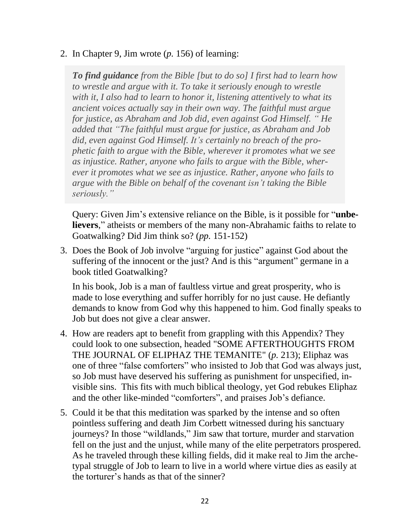2. In Chapter 9, Jim wrote (*p.* 156) of learning:

*To find guidance from the Bible [but to do so] I first had to learn how to wrestle and argue with it. To take it seriously enough to wrestle with it, I also had to learn to honor it, listening attentively to what its ancient voices actually say in their own way. The faithful must argue for justice, as Abraham and Job did, even against God Himself. " He added that "The faithful must argue for justice, as Abraham and Job did, even against God Himself. It's certainly no breach of the prophetic faith to argue with the Bible, wherever it promotes what we see as injustice. Rather, anyone who fails to argue with the Bible, wherever it promotes what we see as injustice. Rather, anyone who fails to argue with the Bible on behalf of the covenant isn't taking the Bible seriously."*

Query: Given Jim's extensive reliance on the Bible, is it possible for "**unbelievers**," atheists or members of the many non-Abrahamic faiths to relate to Goatwalking? Did Jim think so? (*pp.* 151-152)

3. Does the Book of Job involve "arguing for justice" against God about the suffering of the innocent or the just? And is this "argument" germane in a book titled Goatwalking?

In his book, Job is a man of faultless virtue and great prosperity, who is made to lose everything and suffer horribly for no just cause. He defiantly demands to know from God why this happened to him. God finally speaks to Job but does not give a clear answer.

- 4. How are readers apt to benefit from grappling with this Appendix? They could look to one subsection, headed "SOME AFTERTHOUGHTS FROM THE JOURNAL OF ELIPHAZ THE TEMANITE" (*p.* 213); Eliphaz was one of three "false comforters" who insisted to Job that God was always just, so Job must have deserved his suffering as punishment for unspecified, invisible sins. This fits with much biblical theology, yet God rebukes Eliphaz and the other like-minded "comforters", and praises Job's defiance.
- 5. Could it be that this meditation was sparked by the intense and so often pointless suffering and death Jim Corbett witnessed during his sanctuary journeys? In those "wildlands," Jim saw that torture, murder and starvation fell on the just and the unjust, while many of the elite perpetrators prospered. As he traveled through these killing fields, did it make real to Jim the archetypal struggle of Job to learn to live in a world where virtue dies as easily at the torturer's hands as that of the sinner?